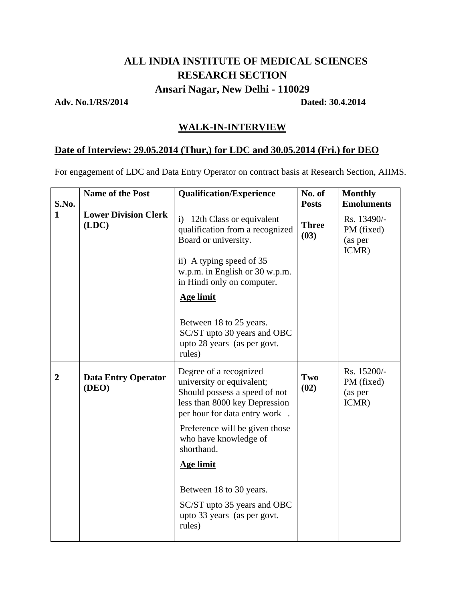# **ALL INDIA INSTITUTE OF MEDICAL SCIENCES RESEARCH SECTION Ansari Nagar, New Delhi - 110029**

## **Adv. No.1/RS/2014 Dated: 30.4.2014**

# **WALK-IN-INTERVIEW**

### **Date of Interview: 29.05.2014 (Thur,) for LDC and 30.05.2014 (Fri.) for DEO**

For engagement of LDC and Data Entry Operator on contract basis at Research Section, AIIMS.

| S.No.          | Name of the Post                     | <b>Qualification/Experience</b>                                                                                                                       | No. of<br><b>Posts</b> | <b>Monthly</b><br><b>Emoluments</b>           |
|----------------|--------------------------------------|-------------------------------------------------------------------------------------------------------------------------------------------------------|------------------------|-----------------------------------------------|
| $\mathbf{1}$   | <b>Lower Division Clerk</b><br>(LDC) | i)<br>12th Class or equivalent<br>qualification from a recognized<br>Board or university.                                                             | <b>Three</b><br>(03)   | Rs. 13490/-<br>PM (fixed)<br>(as per<br>ICMR) |
|                |                                      | ii) A typing speed of 35<br>w.p.m. in English or 30 w.p.m.<br>in Hindi only on computer.                                                              |                        |                                               |
|                |                                      | <b>Age limit</b>                                                                                                                                      |                        |                                               |
|                |                                      | Between 18 to 25 years.<br>SC/ST upto 30 years and OBC<br>upto 28 years (as per govt.<br>rules)                                                       |                        |                                               |
| $\overline{2}$ | <b>Data Entry Operator</b><br>(DEO)  | Degree of a recognized<br>university or equivalent;<br>Should possess a speed of not<br>less than 8000 key Depression<br>per hour for data entry work | Two<br>(02)            | Rs. 15200/-<br>PM (fixed)<br>(as per<br>ICMR) |
|                |                                      | Preference will be given those<br>who have knowledge of<br>shorthand.                                                                                 |                        |                                               |
|                |                                      | <b>Age limit</b>                                                                                                                                      |                        |                                               |
|                |                                      | Between 18 to 30 years.<br>SC/ST upto 35 years and OBC<br>upto 33 years (as per govt.<br>rules)                                                       |                        |                                               |